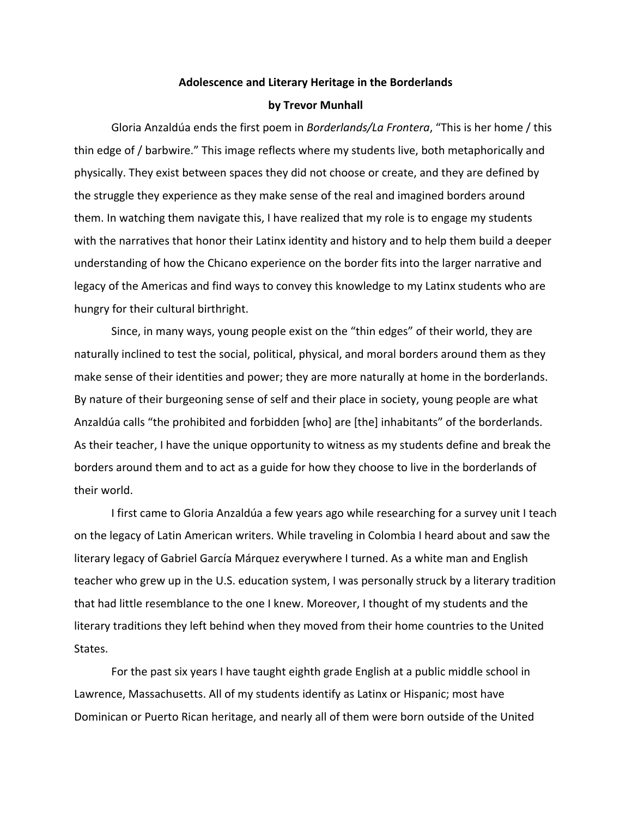## Adolescence and Literary Heritage in the Borderlands

## **by Trevor Munhall**

Gloria Anzaldúa ends the first poem in *Borderlands/La Frontera*, "This is her home / this thin edge of / barbwire." This image reflects where my students live, both metaphorically and physically. They exist between spaces they did not choose or create, and they are defined by the struggle they experience as they make sense of the real and imagined borders around them. In watching them navigate this, I have realized that my role is to engage my students with the narratives that honor their Latinx identity and history and to help them build a deeper understanding of how the Chicano experience on the border fits into the larger narrative and legacy of the Americas and find ways to convey this knowledge to my Latinx students who are hungry for their cultural birthright.

Since, in many ways, young people exist on the "thin edges" of their world, they are naturally inclined to test the social, political, physical, and moral borders around them as they make sense of their identities and power; they are more naturally at home in the borderlands. By nature of their burgeoning sense of self and their place in society, young people are what Anzaldúa calls "the prohibited and forbidden [who] are [the] inhabitants" of the borderlands. As their teacher, I have the unique opportunity to witness as my students define and break the borders around them and to act as a guide for how they choose to live in the borderlands of their world.

I first came to Gloria Anzaldúa a few years ago while researching for a survey unit I teach on the legacy of Latin American writers. While traveling in Colombia I heard about and saw the literary legacy of Gabriel García Márquez everywhere I turned. As a white man and English teacher who grew up in the U.S. education system, I was personally struck by a literary tradition that had little resemblance to the one I knew. Moreover, I thought of my students and the literary traditions they left behind when they moved from their home countries to the United States.

For the past six years I have taught eighth grade English at a public middle school in Lawrence, Massachusetts. All of my students identify as Latinx or Hispanic; most have Dominican or Puerto Rican heritage, and nearly all of them were born outside of the United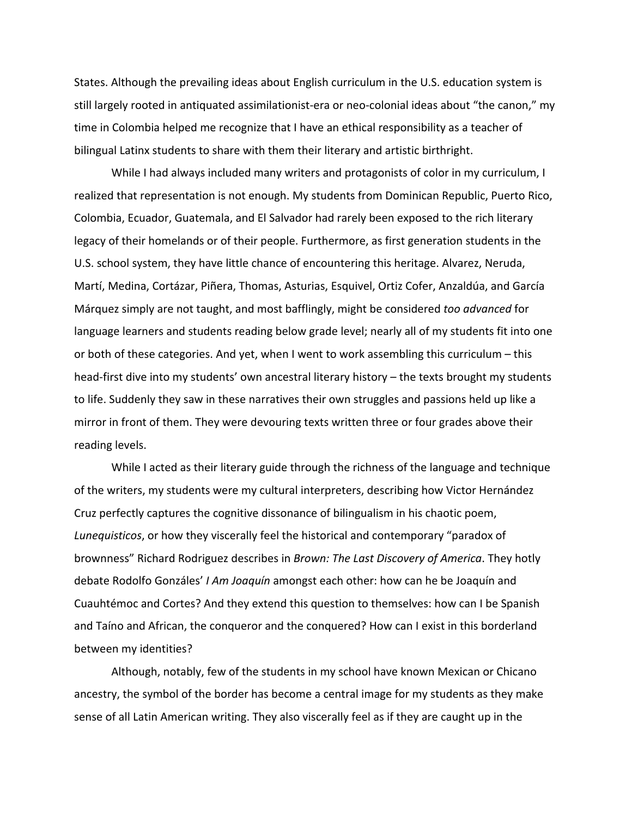States. Although the prevailing ideas about English curriculum in the U.S. education system is still largely rooted in antiquated assimilationist-era or neo-colonial ideas about "the canon," my time in Colombia helped me recognize that I have an ethical responsibility as a teacher of bilingual Latinx students to share with them their literary and artistic birthright.

While I had always included many writers and protagonists of color in my curriculum, I realized that representation is not enough. My students from Dominican Republic, Puerto Rico, Colombia, Ecuador, Guatemala, and El Salvador had rarely been exposed to the rich literary legacy of their homelands or of their people. Furthermore, as first generation students in the U.S. school system, they have little chance of encountering this heritage. Alvarez, Neruda, Martí, Medina, Cortázar, Piñera, Thomas, Asturias, Esquivel, Ortiz Cofer, Anzaldúa, and García Márquez simply are not taught, and most bafflingly, might be considered *too advanced* for language learners and students reading below grade level; nearly all of my students fit into one or both of these categories. And yet, when I went to work assembling this curriculum – this head-first dive into my students' own ancestral literary history – the texts brought my students to life. Suddenly they saw in these narratives their own struggles and passions held up like a mirror in front of them. They were devouring texts written three or four grades above their reading levels.

While I acted as their literary guide through the richness of the language and technique of the writers, my students were my cultural interpreters, describing how Victor Hernández Cruz perfectly captures the cognitive dissonance of bilingualism in his chaotic poem, Lunequisticos, or how they viscerally feel the historical and contemporary "paradox of brownness" Richard Rodriguez describes in *Brown: The Last Discovery of America*. They hotly debate Rodolfo Gonzáles' *I Am Joaquín* amongst each other: how can he be Joaquín and Cuauhtémoc and Cortes? And they extend this question to themselves: how can I be Spanish and Taíno and African, the conqueror and the conquered? How can I exist in this borderland between my identities?

Although, notably, few of the students in my school have known Mexican or Chicano ancestry, the symbol of the border has become a central image for my students as they make sense of all Latin American writing. They also viscerally feel as if they are caught up in the